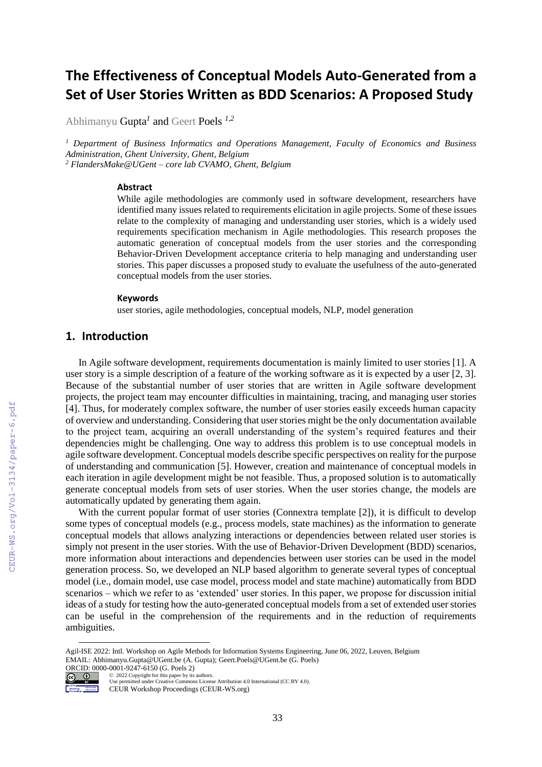# **The Effectiveness of Conceptual Models Auto-Generated from a Set of User Stories Written as BDD Scenarios: A Proposed Study**

Abhimanyu Gupta*<sup>1</sup>* and Geert Poels *1,2*

*<sup>1</sup> Department of Business Informatics and Operations Management, Faculty of Economics and Business Administration, Ghent University, Ghent, Belgium <sup>2</sup> FlandersMake@UGent – core lab CVAMO, Ghent, Belgium* 

#### **Abstract**

While agile methodologies are commonly used in software development, researchers have identified many issues related to requirements elicitation in agile projects. Some of these issues relate to the complexity of managing and understanding user stories, which is a widely used requirements specification mechanism in Agile methodologies. This research proposes the automatic generation of conceptual models from the user stories and the corresponding Behavior-Driven Development acceptance criteria to help managing and understanding user stories. This paper discusses a proposed study to evaluate the usefulness of the auto-generated conceptual models from the user stories.

#### **Keywords 1**

user stories, agile methodologies, conceptual models, NLP, model generation

### **1. Introduction**

In Agile software development, requirements documentation is mainly limited to user stories [1]. A user story is a simple description of a feature of the working software as it is expected by a user [2, 3]. Because of the substantial number of user stories that are written in Agile software development projects, the project team may encounter difficulties in maintaining, tracing, and managing user stories [4]. Thus, for moderately complex software, the number of user stories easily exceeds human capacity of overview and understanding. Considering that user stories might be the only documentation available to the project team, acquiring an overall understanding of the system's required features and their dependencies might be challenging. One way to address this problem is to use conceptual models in agile software development. Conceptual models describe specific perspectives on reality for the purpose of understanding and communication [5]. However, creation and maintenance of conceptual models in each iteration in agile development might be not feasible. Thus, a proposed solution is to automatically generate conceptual models from sets of user stories. When the user stories change, the models are automatically updated by generating them again.

With the current popular format of user stories (Connextra template [2]), it is difficult to develop some types of conceptual models (e.g., process models, state machines) as the information to generate conceptual models that allows analyzing interactions or dependencies between related user stories is simply not present in the user stories. With the use of Behavior-Driven Development (BDD) scenarios, more information about interactions and dependencies between user stories can be used in the model generation process. So, we developed an NLP based algorithm to generate several types of conceptual model (i.e., domain model, use case model, process model and state machine) automatically from BDD scenarios – which we refer to as 'extended' user stories. In this paper, we propose for discussion initial ideas of a study for testing how the auto-generated conceptual models from a set of extended user stories can be useful in the comprehension of the requirements and in the reduction of requirements ambiguities.

ORCID: 0000-0001-9247-6150 (G. Poels 2)<br>  $\bigcirc$   $\bigcirc$   $\bigcirc$  2022 Copyright for this paper by its ©️ 2022 Copyright for this paper by its authors.



Use permitted under Creative Commons License Attribution 4.0 International (CC BY 4.0). CEUR Workshop Proceedings (CEUR-WS.org)

Agil-ISE 2022: Intl. Workshop on Agile Methods for Information Systems Engineering, June 06, 2022, Leuven, Belgium EMAIL: Abhimanyu.Gupta@UGent.be (A. Gupta); Geert.Poels@UGent.be (G. Poels)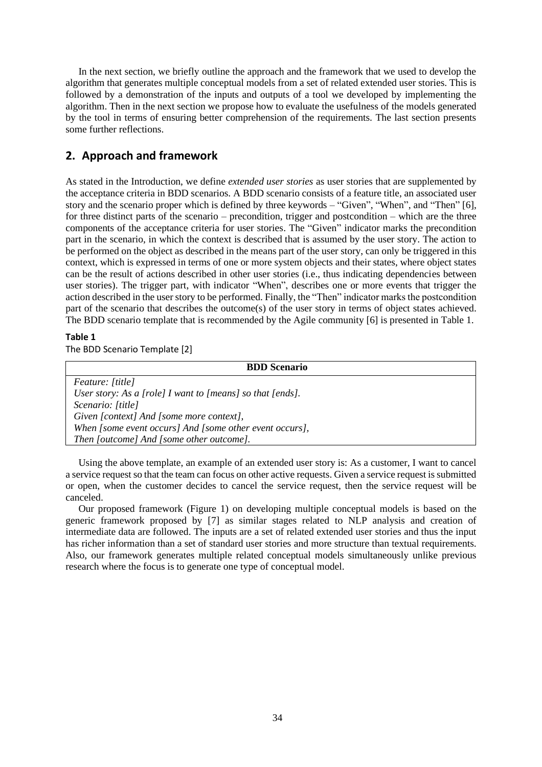In the next section, we briefly outline the approach and the framework that we used to develop the algorithm that generates multiple conceptual models from a set of related extended user stories. This is followed by a demonstration of the inputs and outputs of a tool we developed by implementing the algorithm. Then in the next section we propose how to evaluate the usefulness of the models generated by the tool in terms of ensuring better comprehension of the requirements. The last section presents some further reflections.

### **2. Approach and framework**

As stated in the Introduction, we define *extended user stories* as user stories that are supplemented by the acceptance criteria in BDD scenarios. A BDD scenario consists of a feature title, an associated user story and the scenario proper which is defined by three keywords – "Given", "When", and "Then" [6], for three distinct parts of the scenario – precondition, trigger and postcondition – which are the three components of the acceptance criteria for user stories. The "Given" indicator marks the precondition part in the scenario, in which the context is described that is assumed by the user story. The action to be performed on the object as described in the means part of the user story, can only be triggered in this context, which is expressed in terms of one or more system objects and their states, where object states can be the result of actions described in other user stories (i.e., thus indicating dependencies between user stories). The trigger part, with indicator "When", describes one or more events that trigger the action described in the user story to be performed. Finally, the "Then" indicator marks the postcondition part of the scenario that describes the outcome(s) of the user story in terms of object states achieved. The BDD scenario template that is recommended by the Agile community [6] is presented in [Table 1.](#page-1-0)

### <span id="page-1-0"></span>**Table 1**

The BDD Scenario Template [2]

| <b>BDD</b> Scenario                                       |
|-----------------------------------------------------------|
| <i>Feature: [title]</i>                                   |
| User story: As a [role] I want to [means] so that [ends]. |
| Scenario: [title]                                         |
| Given [context] And [some more context],                  |
| When [some event occurs] And [some other event occurs],   |
| Then [outcome] And [some other outcome].                  |

Using the above template, an example of an extended user story is: As a customer, I want to cancel a service request so that the team can focus on other active requests. Given a service request is submitted or open, when the customer decides to cancel the service request, then the service request will be canceled.

Our proposed framework [\(Figure 1\)](#page-2-0) on developing multiple conceptual models is based on the generic framework proposed by [7] as similar stages related to NLP analysis and creation of intermediate data are followed. The inputs are a set of related extended user stories and thus the input has richer information than a set of standard user stories and more structure than textual requirements. Also, our framework generates multiple related conceptual models simultaneously unlike previous research where the focus is to generate one type of conceptual model.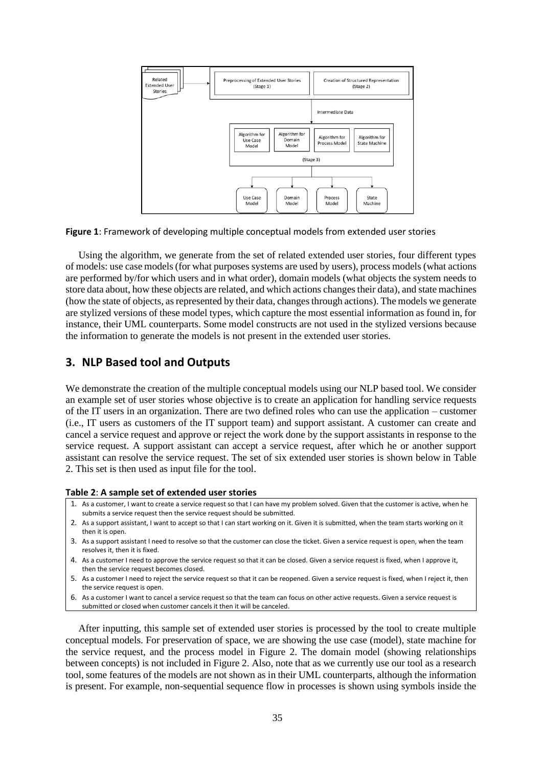

<span id="page-2-0"></span>**Figure 1**: Framework of developing multiple conceptual models from extended user stories

Using the algorithm, we generate from the set of related extended user stories, four different types of models: use case models(for what purposes systems are used by users), process models (what actions are performed by/for which users and in what order), domain models (what objects the system needs to store data about, how these objects are related, and which actions changes their data), and state machines (how the state of objects, as represented by their data, changes through actions). The models we generate are stylized versions of these model types, which capture the most essential information as found in, for instance, their UML counterparts. Some model constructs are not used in the stylized versions because the information to generate the models is not present in the extended user stories.

### **3. NLP Based tool and Outputs**

We demonstrate the creation of the multiple conceptual models using our NLP based tool. We consider an example set of user stories whose objective is to create an application for handling service requests of the IT users in an organization. There are two defined roles who can use the application – customer (i.e., IT users as customers of the IT support team) and support assistant. A customer can create and cancel a service request and approve or reject the work done by the support assistants in response to the service request. A support assistant can accept a service request, after which he or another support assistant can resolve the service request. The set of six extended user stories is shown below in Table 2. This set is then used as input file for the tool.

#### **Table 2**: **A sample set of extended user stories**

- 1. As a customer, I want to create a service request so that I can have my problem solved. Given that the customer is active, when he submits a service request then the service request should be submitted.
- 2. As a support assistant, I want to accept so that I can start working on it. Given it is submitted, when the team starts working on it then it is open.
- 3. As a support assistant I need to resolve so that the customer can close the ticket. Given a service request is open, when the team resolves it, then it is fixed.
- 4. As a customer I need to approve the service request so that it can be closed. Given a service request is fixed, when I approve it, then the service request becomes closed.
- 5. As a customer I need to reject the service request so that it can be reopened. Given a service request is fixed, when I reject it, then the service request is open.
- 6. As a customer I want to cancel a service request so that the team can focus on other active requests. Given a service request is submitted or closed when customer cancels it then it will be canceled.

After inputting, this sample set of extended user stories is processed by the tool to create multiple conceptual models. For preservation of space, we are showing the use case (model), state machine for the service request, and the process model in Figure 2. The domain model (showing relationships between concepts) is not included in Figure 2. Also, note that as we currently use our tool as a research tool, some features of the models are not shown as in their UML counterparts, although the information is present. For example, non-sequential sequence flow in processes is shown using symbols inside the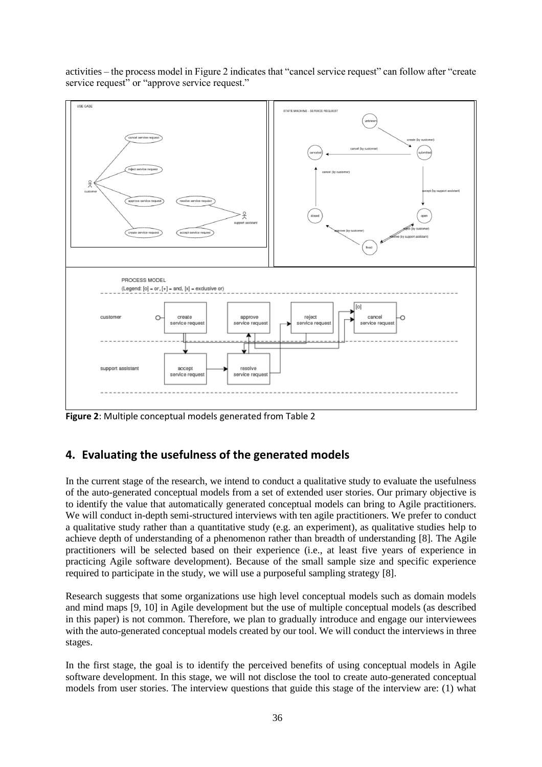

activities – the process model in Figure 2 indicates that "cancel service request" can follow after "create service request" or "approve service request."

**Figure 2**: Multiple conceptual models generated from Table 2

# **4. Evaluating the usefulness of the generated models**

In the current stage of the research, we intend to conduct a qualitative study to evaluate the usefulness of the auto-generated conceptual models from a set of extended user stories. Our primary objective is to identify the value that automatically generated conceptual models can bring to Agile practitioners. We will conduct in-depth semi-structured interviews with ten agile practitioners. We prefer to conduct a qualitative study rather than a quantitative study (e.g. an experiment), as qualitative studies help to achieve depth of understanding of a phenomenon rather than breadth of understanding [8]. The Agile practitioners will be selected based on their experience (i.e., at least five years of experience in practicing Agile software development). Because of the small sample size and specific experience required to participate in the study, we will use a purposeful sampling strategy [8].

Research suggests that some organizations use high level conceptual models such as domain models and mind maps [9, 10] in Agile development but the use of multiple conceptual models (as described in this paper) is not common. Therefore, we plan to gradually introduce and engage our interviewees with the auto-generated conceptual models created by our tool. We will conduct the interviews in three stages.

In the first stage, the goal is to identify the perceived benefits of using conceptual models in Agile software development. In this stage, we will not disclose the tool to create auto-generated conceptual models from user stories. The interview questions that guide this stage of the interview are: (1) what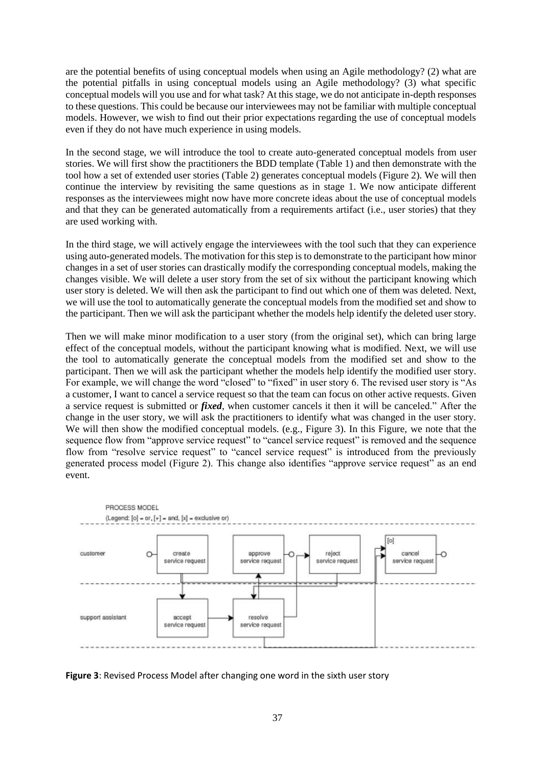are the potential benefits of using conceptual models when using an Agile methodology? (2) what are the potential pitfalls in using conceptual models using an Agile methodology? (3) what specific conceptual models will you use and for what task? At this stage, we do not anticipate in-depth responses to these questions. This could be because our interviewees may not be familiar with multiple conceptual models. However, we wish to find out their prior expectations regarding the use of conceptual models even if they do not have much experience in using models.

In the second stage, we will introduce the tool to create auto-generated conceptual models from user stories. We will first show the practitioners the BDD template (Table 1) and then demonstrate with the tool how a set of extended user stories (Table 2) generates conceptual models (Figure 2). We will then continue the interview by revisiting the same questions as in stage 1. We now anticipate different responses as the interviewees might now have more concrete ideas about the use of conceptual models and that they can be generated automatically from a requirements artifact (i.e., user stories) that they are used working with.

In the third stage, we will actively engage the interviewees with the tool such that they can experience using auto-generated models. The motivation for this step is to demonstrate to the participant how minor changes in a set of user stories can drastically modify the corresponding conceptual models, making the changes visible. We will delete a user story from the set of six without the participant knowing which user story is deleted. We will then ask the participant to find out which one of them was deleted. Next, we will use the tool to automatically generate the conceptual models from the modified set and show to the participant. Then we will ask the participant whether the models help identify the deleted user story.

Then we will make minor modification to a user story (from the original set), which can bring large effect of the conceptual models, without the participant knowing what is modified. Next, we will use the tool to automatically generate the conceptual models from the modified set and show to the participant. Then we will ask the participant whether the models help identify the modified user story. For example, we will change the word "closed" to "fixed" in user story 6. The revised user story is "As a customer, I want to cancel a service request so that the team can focus on other active requests. Given a service request is submitted or *fixed*, when customer cancels it then it will be canceled." After the change in the user story, we will ask the practitioners to identify what was changed in the user story. We will then show the modified conceptual models. (e.g., Figure 3). In this Figure, we note that the sequence flow from "approve service request" to "cancel service request" is removed and the sequence flow from "resolve service request" to "cancel service request" is introduced from the previously generated process model (Figure 2). This change also identifies "approve service request" as an end event.



**Figure 3**: Revised Process Model after changing one word in the sixth user story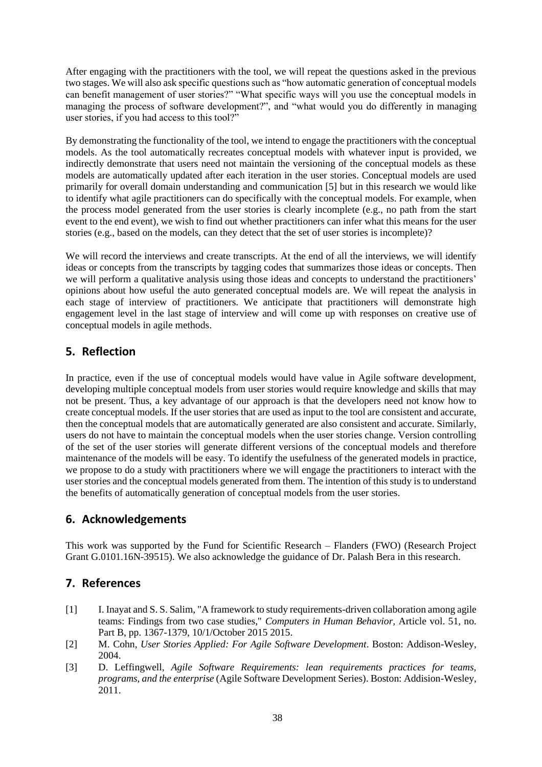After engaging with the practitioners with the tool, we will repeat the questions asked in the previous two stages. We will also ask specific questions such as "how automatic generation of conceptual models can benefit management of user stories?" "What specific ways will you use the conceptual models in managing the process of software development?", and "what would you do differently in managing user stories, if you had access to this tool?"

By demonstrating the functionality of the tool, we intend to engage the practitioners with the conceptual models. As the tool automatically recreates conceptual models with whatever input is provided, we indirectly demonstrate that users need not maintain the versioning of the conceptual models as these models are automatically updated after each iteration in the user stories. Conceptual models are used primarily for overall domain understanding and communication [5] but in this research we would like to identify what agile practitioners can do specifically with the conceptual models. For example, when the process model generated from the user stories is clearly incomplete (e.g., no path from the start event to the end event), we wish to find out whether practitioners can infer what this means for the user stories (e.g., based on the models, can they detect that the set of user stories is incomplete)?

We will record the interviews and create transcripts. At the end of all the interviews, we will identify ideas or concepts from the transcripts by tagging codes that summarizes those ideas or concepts. Then we will perform a qualitative analysis using those ideas and concepts to understand the practitioners' opinions about how useful the auto generated conceptual models are. We will repeat the analysis in each stage of interview of practitioners. We anticipate that practitioners will demonstrate high engagement level in the last stage of interview and will come up with responses on creative use of conceptual models in agile methods.

# **5. Reflection**

In practice, even if the use of conceptual models would have value in Agile software development, developing multiple conceptual models from user stories would require knowledge and skills that may not be present. Thus, a key advantage of our approach is that the developers need not know how to create conceptual models. If the user stories that are used as input to the tool are consistent and accurate, then the conceptual models that are automatically generated are also consistent and accurate. Similarly, users do not have to maintain the conceptual models when the user stories change. Version controlling of the set of the user stories will generate different versions of the conceptual models and therefore maintenance of the models will be easy. To identify the usefulness of the generated models in practice, we propose to do a study with practitioners where we will engage the practitioners to interact with the user stories and the conceptual models generated from them. The intention of this study is to understand the benefits of automatically generation of conceptual models from the user stories.

# **6. Acknowledgements**

This work was supported by the Fund for Scientific Research – Flanders (FWO) (Research Project Grant G.0101.16N-39515). We also acknowledge the guidance of Dr. Palash Bera in this research.

# **7. References**

- [1] I. Inayat and S. S. Salim, "A framework to study requirements-driven collaboration among agile teams: Findings from two case studies," *Computers in Human Behavior,* Article vol. 51, no. Part B, pp. 1367-1379, 10/1/October 2015 2015.
- [2] M. Cohn, *User Stories Applied: For Agile Software Development*. Boston: Addison-Wesley, 2004.
- [3] D. Leffingwell, *Agile Software Requirements: lean requirements practices for teams, programs, and the enterprise* (Agile Software Development Series). Boston: Addision-Wesley, 2011.